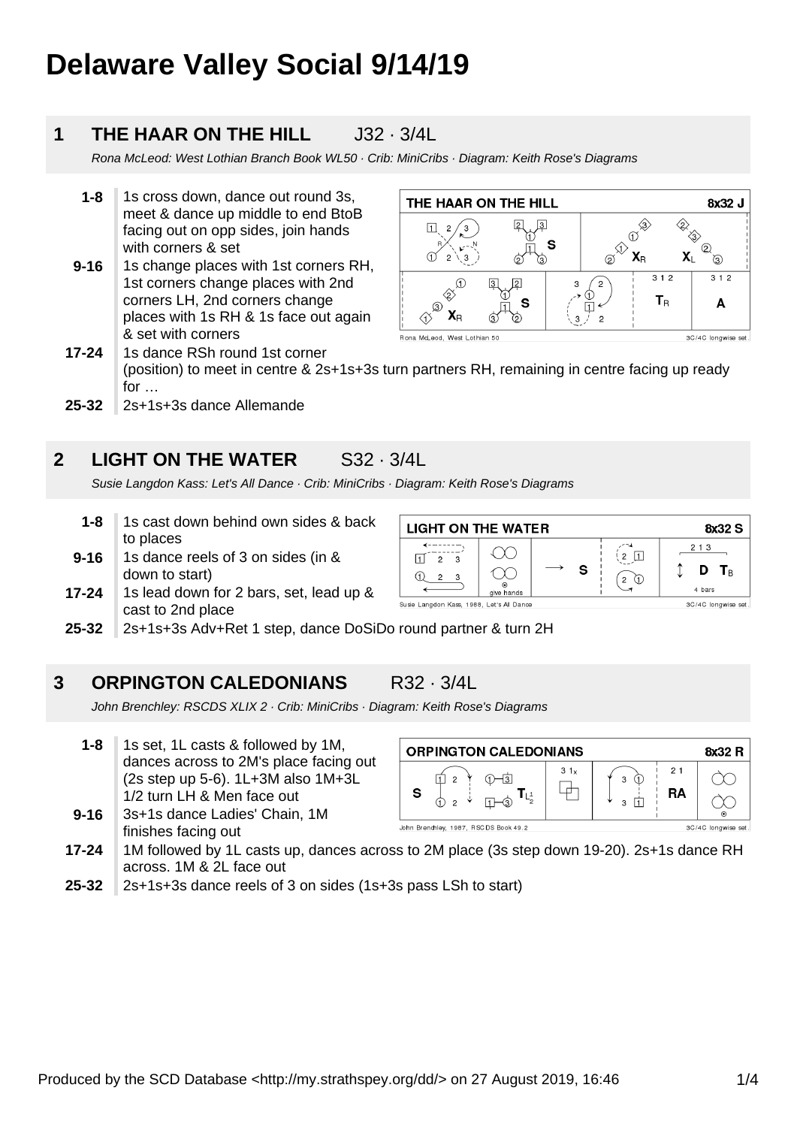# **Delaware Valley Social 9/14/19**

#### **1 THE HAAR ON THE HILL J32 · 3/4L**

Rona McLeod: West Lothian Branch Book WL50 · Crib: MiniCribs · Diagram: Keith Rose's Diagrams

- **1-8** 1s cross down, dance out round 3s, meet & dance up middle to end BtoB facing out on opp sides, join hands with corners & set
- **9-16** 1s change places with 1st corners RH, 1st corners change places with 2nd corners LH, 2nd corners change places with 1s RH & 1s face out again & set with corners



**17-24** 1s dance RSh round 1st corner (position) to meet in centre & 2s+1s+3s turn partners RH, remaining in centre facing up ready for …

**25-32** 2s+1s+3s dance Allemande

#### **2 LIGHT ON THE WATER** S32 · 3/4L

Susie Langdon Kass: Let's All Dance · Crib: MiniCribs · Diagram: Keith Rose's Diagrams

- **1-8** 1s cast down behind own sides & back to places
- **9-16** 1s dance reels of 3 on sides (in & down to start)
- **17-24** 1s lead down for 2 bars, set, lead up & cast to 2nd place



**25-32** 2s+1s+3s Adv+Ret 1 step, dance DoSiDo round partner & turn 2H

#### **3 ORPINGTON CALEDONIANS** R32 · 3/4L

John Brenchley: RSCDS XLIX 2 · Crib: MiniCribs · Diagram: Keith Rose's Diagrams

- **1-8** 1s set, 1L casts & followed by 1M, dances across to 2M's place facing out (2s step up 5-6). 1L+3M also 1M+3L 1/2 turn LH & Men face out
- **9-16** 3s+1s dance Ladies' Chain, 1M finishes facing out

| 31x<br>21<br>3<br>s<br>RA<br>3<br>っ | <b>ORPINGTON CALEDONIANS</b> |  |  |  |  |
|-------------------------------------|------------------------------|--|--|--|--|
|                                     |                              |  |  |  |  |

- **17-24** 1M followed by 1L casts up, dances across to 2M place (3s step down 19-20). 2s+1s dance RH across. 1M & 2L face out
- **25-32** 2s+1s+3s dance reels of 3 on sides (1s+3s pass LSh to start)

Produced by the SCD Database <http://my.strathspey.org/dd/> on 27 August 2019, 16:46 1/4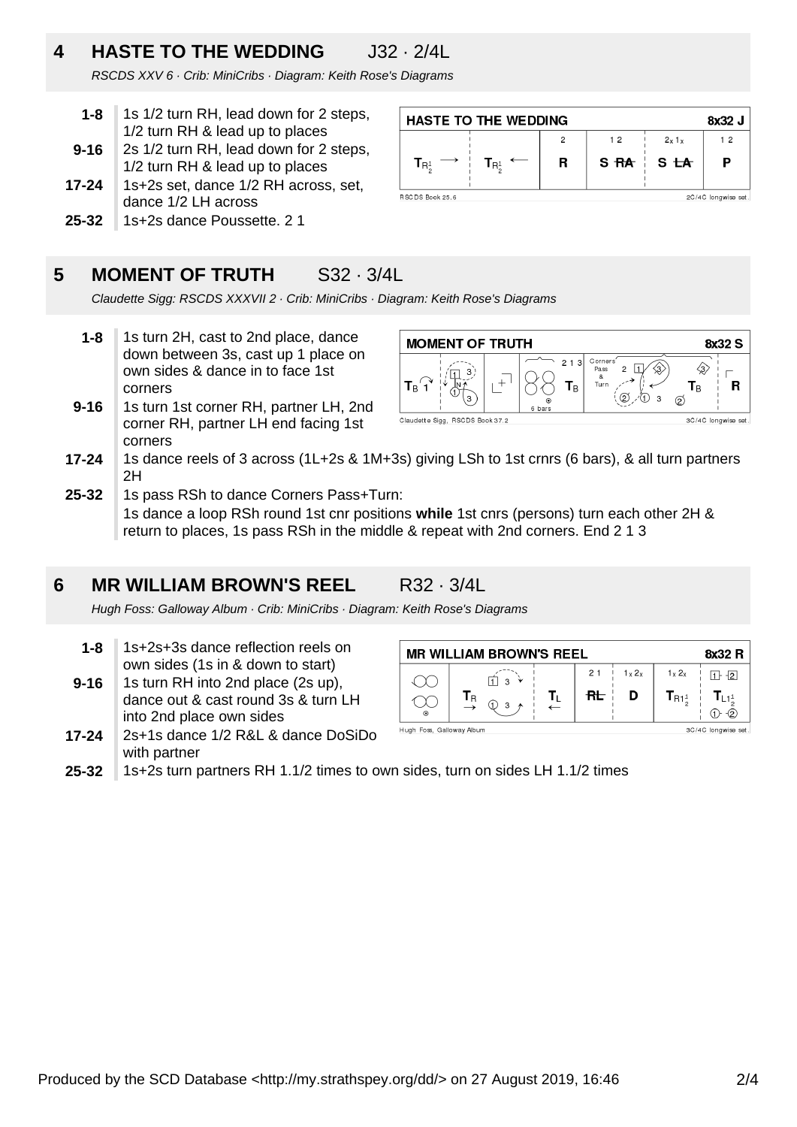# **4 HASTE TO THE WEDDING** J32 · 2/4L

RSCDS XXV 6 · Crib: MiniCribs · Diagram: Keith Rose's Diagrams

- **1-8** 1s 1/2 turn RH, lead down for 2 steps, 1/2 turn RH & lead up to places
- **9-16** 2s 1/2 turn RH, lead down for 2 steps, 1/2 turn RH & lead up to places
- **17-24** 1s+2s set, dance 1/2 RH across, set, dance 1/2 LH across
- **25-32** 1s+2s dance Poussette. 2 1

#### **HASTE TO THE WEDDING** 8x32 J  $12$  $2x1x$  $12$  $\overline{R}$  $S<sub>RA</sub>$ P  $S<sub>th</sub>$  $\mathbf{T}_{\mathsf{R}^1}$  $\mathbf{T}_{\mathsf{R}_z^1}$ RSC DS Book 25.6 2C/4C longwise set

#### **5 MOMENT OF TRUTH** S32 · 3/4L

Claudette Sigg: RSCDS XXXVII 2 · Crib: MiniCribs · Diagram: Keith Rose's Diagrams

- **1-8** 1s turn 2H, cast to 2nd place, dance down between 3s, cast up 1 place on own sides & dance in to face 1st corners
- **9-16** 1s turn 1st corner RH, partner LH, 2nd corner RH, partner LH end facing 1st corners



- **17-24** 1s dance reels of 3 across (1L+2s & 1M+3s) giving LSh to 1st crnrs (6 bars), & all turn partners 2H
- **25-32** 1s pass RSh to dance Corners Pass+Turn: 1s dance a loop RSh round 1st cnr positions **while** 1st cnrs (persons) turn each other 2H & return to places, 1s pass RSh in the middle & repeat with 2nd corners. End 2 1 3

#### **6 MR WILLIAM BROWN'S REEL R32 · 3/4L**

Hugh Foss: Galloway Album · Crib: MiniCribs · Diagram: Keith Rose's Diagrams

- **1-8** 1s+2s+3s dance reflection reels on own sides (1s in & down to start)
- **9-16** 1s turn RH into 2nd place (2s up), dance out & cast round 3s & turn LH into 2nd place own sides
- **17-24** 2s+1s dance 1/2 R&L & dance DoSiDo with partner



**25-32** 1s+2s turn partners RH 1.1/2 times to own sides, turn on sides LH 1.1/2 times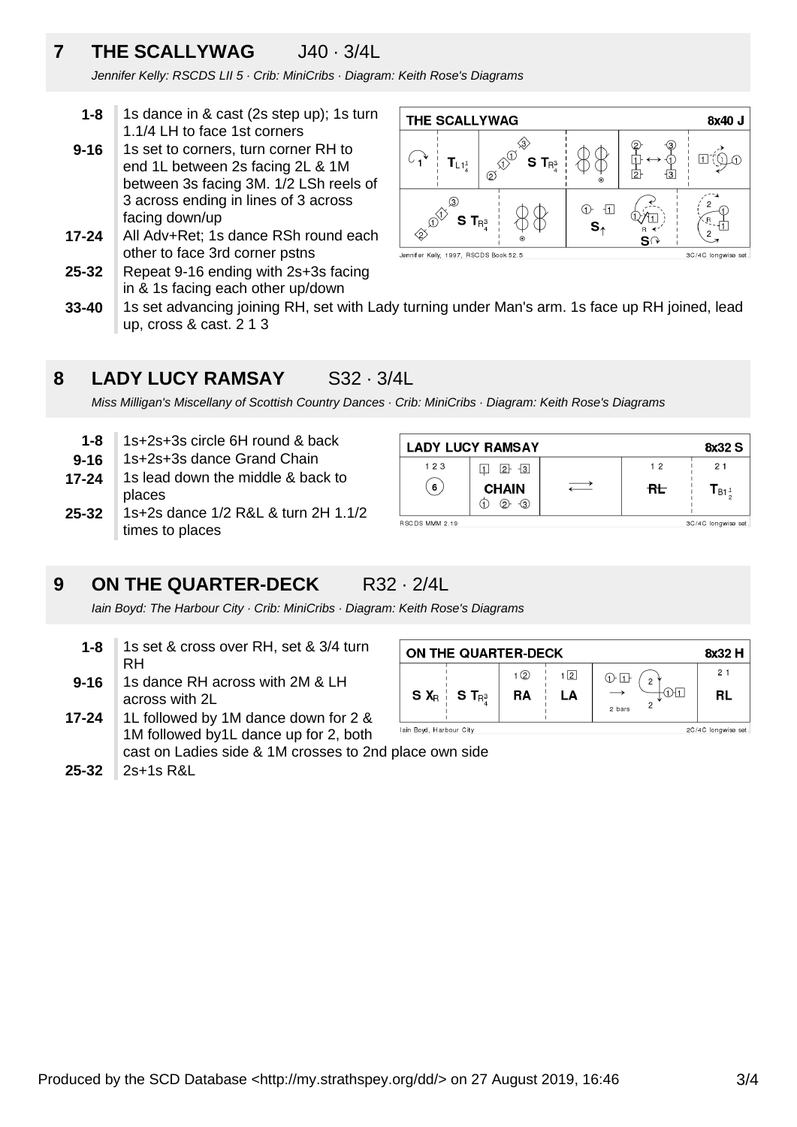# **7 THE SCALLYWAG** J40 · 3/4L

Jennifer Kelly: RSCDS LII 5 · Crib: MiniCribs · Diagram: Keith Rose's Diagrams

- **1-8** 1s dance in & cast (2s step up); 1s turn 1.1/4 LH to face 1st corners
- **9-16** 1s set to corners, turn corner RH to end 1L between 2s facing 2L & 1M between 3s facing 3M. 1/2 LSh reels of 3 across ending in lines of 3 across facing down/up
- **17-24** All Adv+Ret; 1s dance RSh round each other to face 3rd corner pstns
- **25-32** Repeat 9-16 ending with 2s+3s facing in & 1s facing each other up/down



**33-40** 1s set advancing joining RH, set with Lady turning under Man's arm. 1s face up RH joined, lead up, cross & cast. 2 1 3

#### **8 LADY LUCY RAMSAY** S32 · 3/4L

Miss Milligan's Miscellany of Scottish Country Dances · Crib: MiniCribs · Diagram: Keith Rose's Diagrams

- **1-8** 1s+2s+3s circle 6H round & back
- **9-16** 1s+2s+3s dance Grand Chain
- **17-24** 1s lead down the middle & back to places
- **25-32** 1s+2s dance 1/2 R&L & turn 2H 1.1/2 times to places

### **9 ON THE QUARTER-DECK** R32 · 2/4L

Iain Boyd: The Harbour City · Crib: MiniCribs · Diagram: Keith Rose's Diagrams

- **1-8** 1s set & cross over RH, set & 3/4 turn RH
- **9-16** 1s dance RH across with 2M & LH across with 2L
- **17-24** 1L followed by 1M dance down for 2 & 1M followed by1L dance up for 2, both cast on Ladies side & 1M crosses to 2nd place own side
- **25-32** 2s+1s R&L